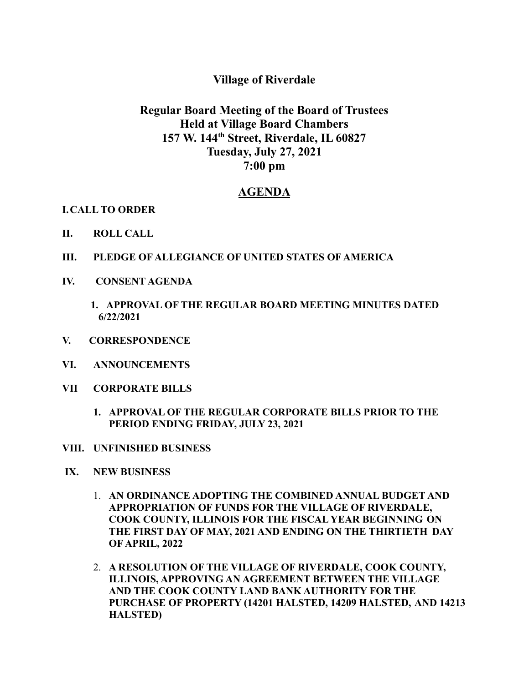## **Village of Riverdale**

## **Regular Board Meeting of the Board of Trustees Held at Village Board Chambers 157 W. 144 th Street, Riverdale, IL 60827 Tuesday, July 27, 2021 7:00 pm**

## **AGENDA**

**I.CALL TO ORDER**

- **II. ROLL CALL**
- **III. PLEDGE OF ALLEGIANCE OF UNITED STATES OF AMERICA**
- **IV. CONSENT AGENDA**
	- **1. APPROVAL OF THE REGULAR BOARD MEETING MINUTES DATED 6/22/2021**
- **V. CORRESPONDENCE**
- **VI. ANNOUNCEMENTS**
- **VII CORPORATE BILLS**
	- **1. APPROVAL OF THE REGULAR CORPORATE BILLS PRIOR TO THE PERIOD ENDING FRIDAY, JULY 23, 2021**
- **VIII. UNFINISHED BUSINESS**
- **IX. NEW BUSINESS**
	- 1. **AN ORDINANCE ADOPTING THE COMBINED ANNUAL BUDGET AND APPROPRIATION OF FUNDS FOR THE VILLAGE OF RIVERDALE, COOK COUNTY, ILLINOIS FOR THE FISCAL YEAR BEGINNING ON THE FIRST DAY OF MAY, 2021 AND ENDING ON THE THIRTIETH DAY OF APRIL, 2022**
	- 2. **A RESOLUTION OF THE VILLAGE OF RIVERDALE, COOK COUNTY, ILLINOIS, APPROVING AN AGREEMENT BETWEEN THE VILLAGE AND THE COOK COUNTY LAND BANK AUTHORITY FOR THE PURCHASE OF PROPERTY (14201 HALSTED, 14209 HALSTED, AND 14213 HALSTED)**